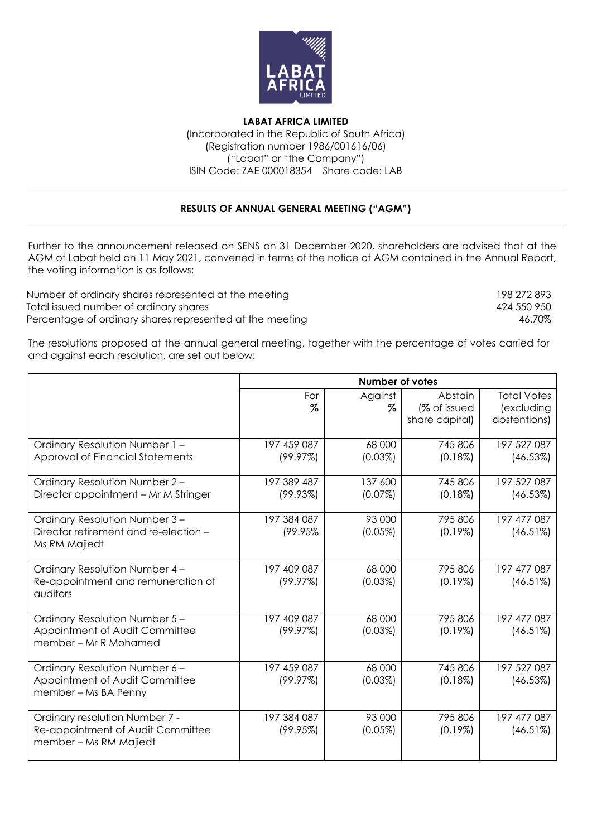

**LABAT AFRICA LIMITED** (Incorporated in the Republic of South Africa) (Registration number 1986/001616/06) ("Labat" or "the Company") ISIN Code: ZAE 000018354 Share code: LAB

## **RESULTS OF ANNUAL GENERAL MEETING ("AGM")**

Further to the announcement released on SENS on 31 December 2020, shareholders are advised that at the AGM of Labat held on 11 May 2021, convened in terms of the notice of AGM contained in the Annual Report, the voting information is as follows:

Number of ordinary shares represented at the meeting 198 272 893 Total issued number of ordinary shares 424 550 950 Percentage of ordinary shares represented at the meeting  $46.70\%$ 

The resolutions proposed at the annual general meeting, together with the percentage of votes carried for and against each resolution, are set out below:

|                                                                    | <b>Number of votes</b> |            |                |                    |  |
|--------------------------------------------------------------------|------------------------|------------|----------------|--------------------|--|
|                                                                    | For                    | Against    | Abstain        | <b>Total Votes</b> |  |
|                                                                    | $\%$                   | Z          | (% of issued   | (excluding         |  |
|                                                                    |                        |            | share capital) | abstentions)       |  |
|                                                                    | 197 459 087            | 68 000     | 745 806        | 197 527 087        |  |
| Ordinary Resolution Number 1 -<br>Approval of Financial Statements | (99.97%)               | $(0.03\%)$ | $(0.18\%)$     | (46.53%)           |  |
|                                                                    |                        |            |                |                    |  |
| Ordinary Resolution Number 2-                                      | 197 389 487            | 137 600    | 745 806        | 197 527 087        |  |
| Director appointment - Mr M Stringer                               | (99.93%)               | (0.07%)    | $(0.18\%)$     | (46.53%)           |  |
| Ordinary Resolution Number 3-                                      | 197 384 087            | 93 000     | 795 806        | 197 477 087        |  |
| Director retirement and re-election -                              | (99.95%                | (0.05%)    | $(0.19\%)$     | (46.51%)           |  |
| Ms RM Majiedt                                                      |                        |            |                |                    |  |
| Ordinary Resolution Number 4-                                      | 197 409 087            | 68 000     | 795 806        | 197 477 087        |  |
| Re-appointment and remuneration of                                 | (99.97%)               | $(0.03\%)$ | $(0.19\%)$     | (46.51%)           |  |
| auditors                                                           |                        |            |                |                    |  |
| Ordinary Resolution Number 5-                                      | 197 409 087            | 68 000     | 795 806        | 197 477 087        |  |
| Appointment of Audit Committee                                     | (99.97%)               | $(0.03\%)$ | $(0.19\%)$     | (46.51%)           |  |
| member – Mr R Mohamed                                              |                        |            |                |                    |  |
| Ordinary Resolution Number 6-                                      | 197 459 087            | 68 000     | 745 806        | 197 527 087        |  |
| Appointment of Audit Committee                                     | (99.97%)               | $(0.03\%)$ | $(0.18\%)$     | (46.53%)           |  |
| member - Ms BA Penny                                               |                        |            |                |                    |  |
| Ordinary resolution Number 7 -                                     | 197 384 087            | 93 000     | 795 806        | 197 477 087        |  |
| Re-appointment of Audit Committee                                  | (99.95%)               | $(0.05\%)$ | $(0.19\%)$     | (46.51%)           |  |
| member - Ms RM Majiedt                                             |                        |            |                |                    |  |
|                                                                    |                        |            |                |                    |  |